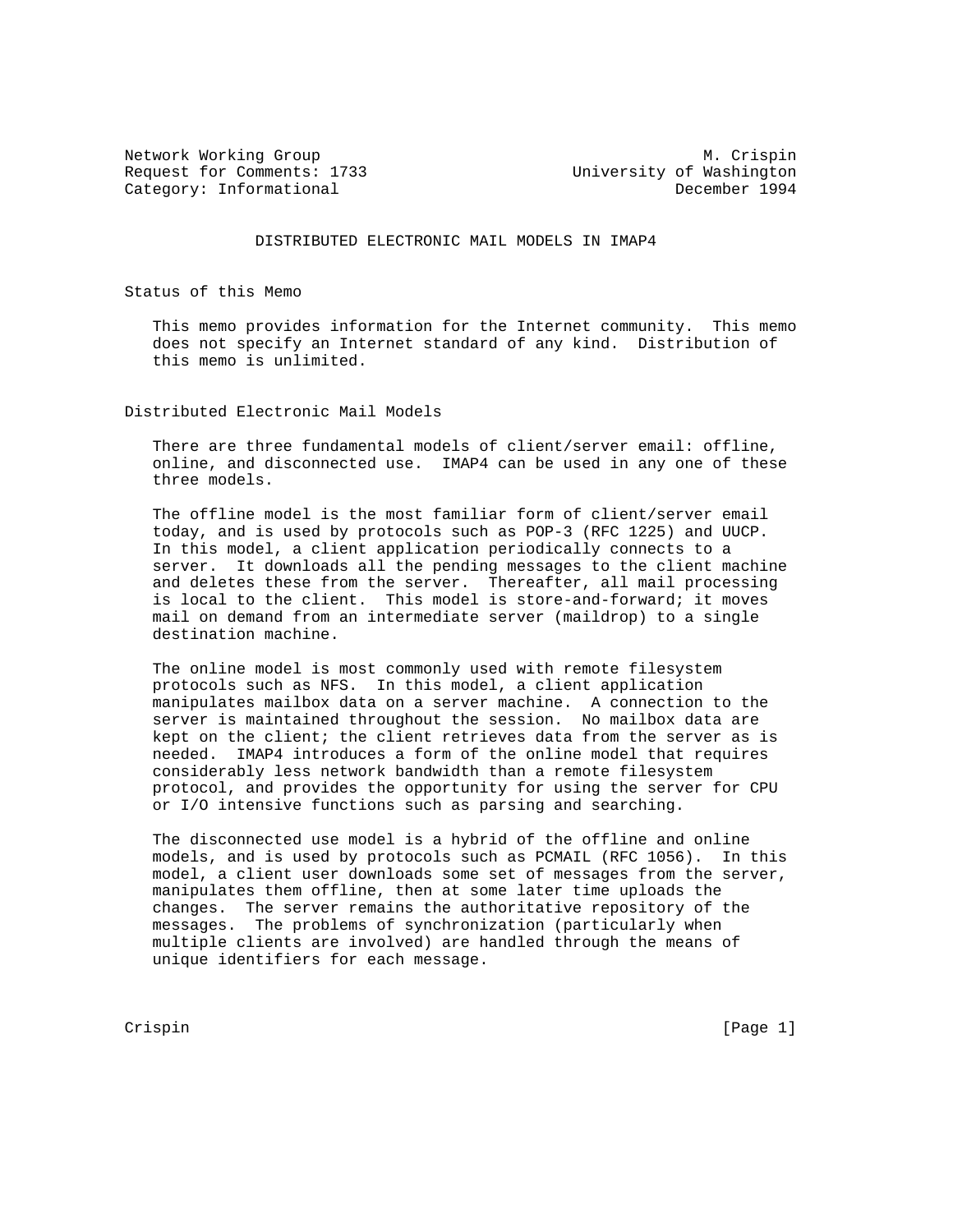Request for Comments: 1733 University of Washington Category: Informational

Network Working Group Metwork Muslim Crispin

DISTRIBUTED ELECTRONIC MAIL MODELS IN IMAP4

Status of this Memo

 This memo provides information for the Internet community. This memo does not specify an Internet standard of any kind. Distribution of this memo is unlimited.

Distributed Electronic Mail Models

 There are three fundamental models of client/server email: offline, online, and disconnected use. IMAP4 can be used in any one of these three models.

 The offline model is the most familiar form of client/server email today, and is used by protocols such as POP-3 (RFC 1225) and UUCP. In this model, a client application periodically connects to a server. It downloads all the pending messages to the client machine and deletes these from the server. Thereafter, all mail processing is local to the client. This model is store-and-forward; it moves mail on demand from an intermediate server (maildrop) to a single destination machine.

 The online model is most commonly used with remote filesystem protocols such as NFS. In this model, a client application manipulates mailbox data on a server machine. A connection to the server is maintained throughout the session. No mailbox data are kept on the client; the client retrieves data from the server as is needed. IMAP4 introduces a form of the online model that requires considerably less network bandwidth than a remote filesystem protocol, and provides the opportunity for using the server for CPU or I/O intensive functions such as parsing and searching.

 The disconnected use model is a hybrid of the offline and online models, and is used by protocols such as PCMAIL (RFC 1056). In this model, a client user downloads some set of messages from the server, manipulates them offline, then at some later time uploads the changes. The server remains the authoritative repository of the messages. The problems of synchronization (particularly when multiple clients are involved) are handled through the means of unique identifiers for each message.

Crispin [Page 1]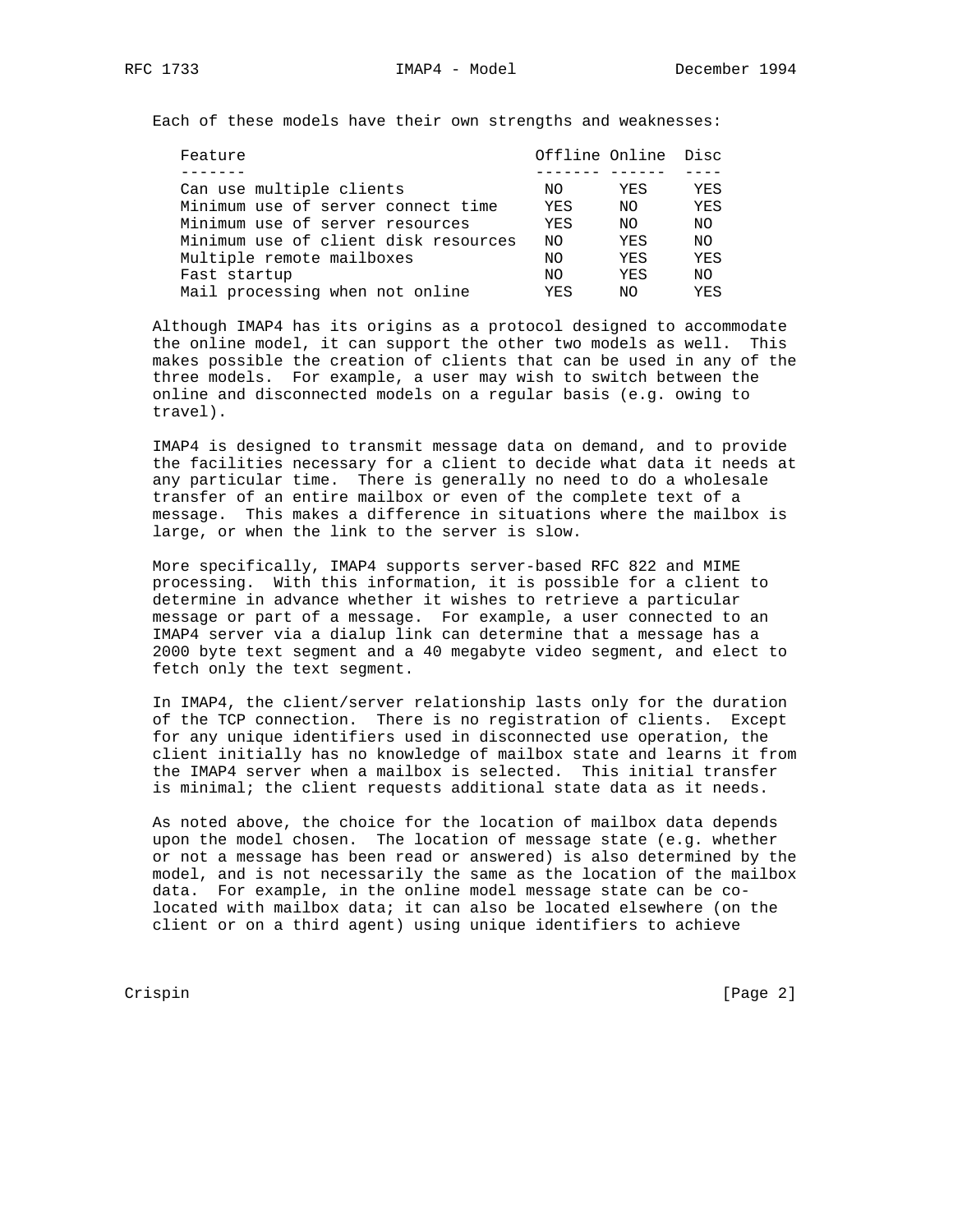Each of these models have their own strengths and weaknesses:

| Feature                              |     | Offline Online Disc |     |
|--------------------------------------|-----|---------------------|-----|
|                                      |     |                     |     |
| Can use multiple clients             | NO. | YES                 | YES |
| Minimum use of server connect time   | YES | NO.                 | YES |
| Minimum use of server resources      | YES | NO.                 | NO. |
| Minimum use of client disk resources | NO. | YES                 | NO. |
| Multiple remote mailboxes            | NO. | YES                 | YES |
| Fast startup                         | NO. | YES                 | NO. |
| Mail processing when not online      | YES | NΟ                  | YES |

 Although IMAP4 has its origins as a protocol designed to accommodate the online model, it can support the other two models as well. This makes possible the creation of clients that can be used in any of the three models. For example, a user may wish to switch between the online and disconnected models on a regular basis (e.g. owing to travel).

 IMAP4 is designed to transmit message data on demand, and to provide the facilities necessary for a client to decide what data it needs at any particular time. There is generally no need to do a wholesale transfer of an entire mailbox or even of the complete text of a message. This makes a difference in situations where the mailbox is large, or when the link to the server is slow.

 More specifically, IMAP4 supports server-based RFC 822 and MIME processing. With this information, it is possible for a client to determine in advance whether it wishes to retrieve a particular message or part of a message. For example, a user connected to an IMAP4 server via a dialup link can determine that a message has a 2000 byte text segment and a 40 megabyte video segment, and elect to fetch only the text segment.

 In IMAP4, the client/server relationship lasts only for the duration of the TCP connection. There is no registration of clients. Except for any unique identifiers used in disconnected use operation, the client initially has no knowledge of mailbox state and learns it from the IMAP4 server when a mailbox is selected. This initial transfer is minimal; the client requests additional state data as it needs.

 As noted above, the choice for the location of mailbox data depends upon the model chosen. The location of message state (e.g. whether or not a message has been read or answered) is also determined by the model, and is not necessarily the same as the location of the mailbox data. For example, in the online model message state can be co located with mailbox data; it can also be located elsewhere (on the client or on a third agent) using unique identifiers to achieve

Crispin [Page 2]